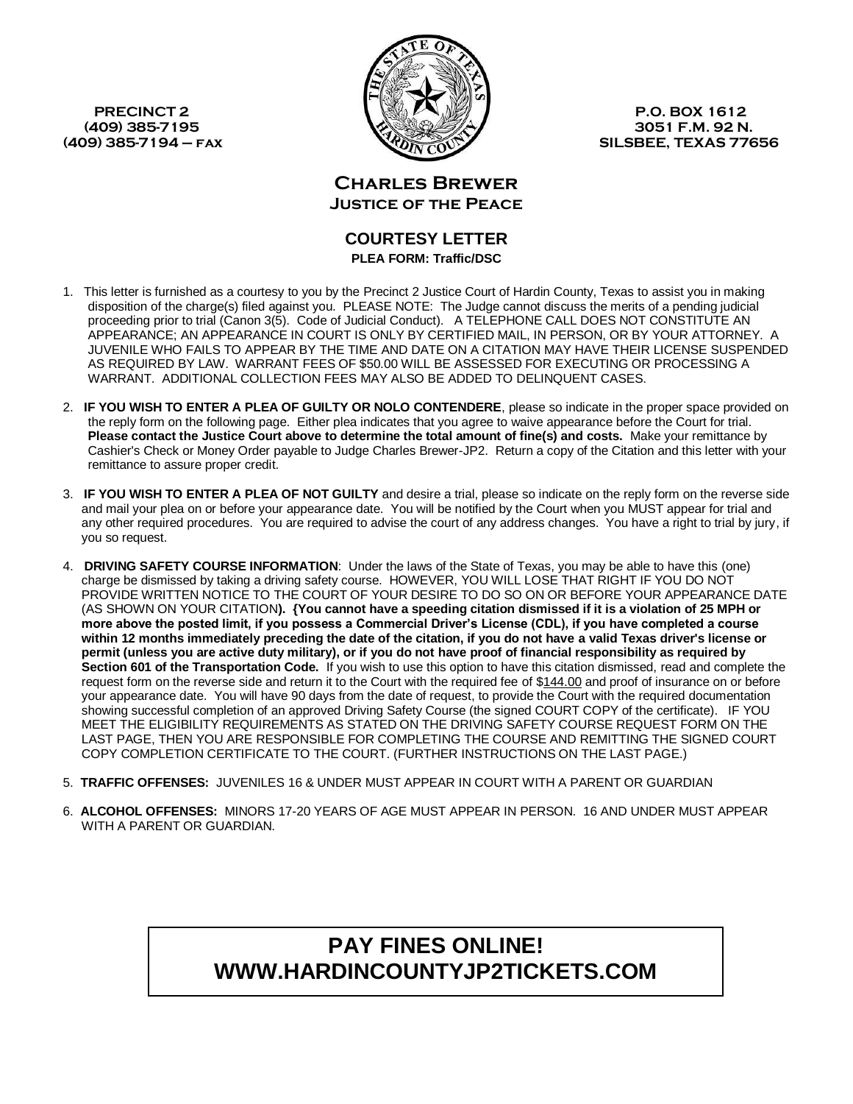

**(409) 385-7195 3051 F.M. 92 N. (409) 385-7194 – fax SILSBEE, TEXAS 77656**

> **Charles Brewer Justice of the Peace**

## **COURTESY LETTER PLEA FORM: Traffic/DSC**

- 1. This letter is furnished as a courtesy to you by the Precinct 2 Justice Court of Hardin County, Texas to assist you in making disposition of the charge(s) filed against you. PLEASE NOTE: The Judge cannot discuss the merits of a pending judicial proceeding prior to trial (Canon 3(5). Code of Judicial Conduct). A TELEPHONE CALL DOES NOT CONSTITUTE AN APPEARANCE; AN APPEARANCE IN COURT IS ONLY BY CERTIFIED MAIL, IN PERSON, OR BY YOUR ATTORNEY. A JUVENILE WHO FAILS TO APPEAR BY THE TIME AND DATE ON A CITATION MAY HAVE THEIR LICENSE SUSPENDED AS REQUIRED BY LAW. WARRANT FEES OF \$50.00 WILL BE ASSESSED FOR EXECUTING OR PROCESSING A WARRANT. ADDITIONAL COLLECTION FEES MAY ALSO BE ADDED TO DELINQUENT CASES.
- 2. **IF YOU WISH TO ENTER A PLEA OF GUILTY OR NOLO CONTENDERE**, please so indicate in the proper space provided on the reply form on the following page. Either plea indicates that you agree to waive appearance before the Court for trial. **Please contact the Justice Court above to determine the total amount of fine(s) and costs.** Make your remittance by Cashier's Check or Money Order payable to Judge Charles Brewer-JP2. Return a copy of the Citation and this letter with your remittance to assure proper credit.
- 3. **IF YOU WISH TO ENTER A PLEA OF NOT GUILTY** and desire a trial, please so indicate on the reply form on the reverse side and mail your plea on or before your appearance date. You will be notified by the Court when you MUST appear for trial and any other required procedures. You are required to advise the court of any address changes. You have a right to trial by jury, if you so request.
- 4. **DRIVING SAFETY COURSE INFORMATION**: Under the laws of the State of Texas, you may be able to have this (one) charge be dismissed by taking a driving safety course. HOWEVER, YOU WILL LOSE THAT RIGHT IF YOU DO NOT PROVIDE WRITTEN NOTICE TO THE COURT OF YOUR DESIRE TO DO SO ON OR BEFORE YOUR APPEARANCE DATE (AS SHOWN ON YOUR CITATION**). {You cannot have a speeding citation dismissed if it is a violation of 25 MPH or more above the posted limit, if you possess a Commercial Driver's License (CDL), if you have completed a course within 12 months immediately preceding the date of the citation, if you do not have a valid Texas driver's license or permit (unless you are active duty military), or if you do not have proof of financial responsibility as required by Section 601 of the Transportation Code.** If you wish to use this option to have this citation dismissed, read and complete the request form on the reverse side and return it to the Court with the required fee of \$144.00 and proof of insurance on or before your appearance date. You will have 90 days from the date of request, to provide the Court with the required documentation showing successful completion of an approved Driving Safety Course (the signed COURT COPY of the certificate). IF YOU MEET THE ELIGIBILITY REQUIREMENTS AS STATED ON THE DRIVING SAFETY COURSE REQUEST FORM ON THE LAST PAGE, THEN YOU ARE RESPONSIBLE FOR COMPLETING THE COURSE AND REMITTING THE SIGNED COURT COPY COMPLETION CERTIFICATE TO THE COURT. (FURTHER INSTRUCTIONS ON THE LAST PAGE.)
- 5. **TRAFFIC OFFENSES:** JUVENILES 16 & UNDER MUST APPEAR IN COURT WITH A PARENT OR GUARDIAN
- 6. **ALCOHOL OFFENSES:** MINORS 17-20 YEARS OF AGE MUST APPEAR IN PERSON. 16 AND UNDER MUST APPEAR WITH A PARENT OR GUARDIAN.

# **PAY FINES ONLINE! WWW.HARDINCOUNTYJP2TICKETS.COM**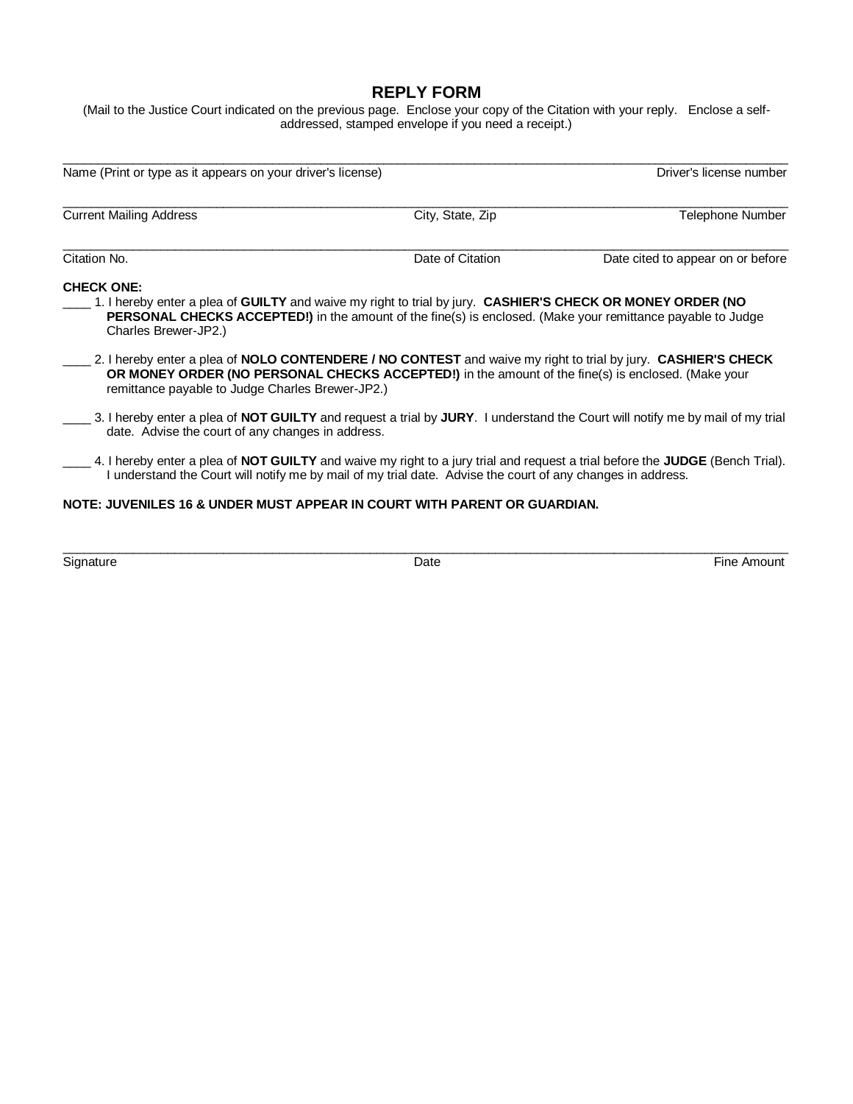## **REPLY FORM**

(Mail to the Justice Court indicated on the previous page. Enclose your copy of the Citation with your reply. Enclose a selfaddressed, stamped envelope if you need a receipt.)

\_\_\_\_\_\_\_\_\_\_\_\_\_\_\_\_\_\_\_\_\_\_\_\_\_\_\_\_\_\_\_\_\_\_\_\_\_\_\_\_\_\_\_\_\_\_\_\_\_\_\_\_\_\_\_\_\_\_\_\_\_\_\_\_\_\_\_\_\_\_\_\_\_\_\_\_\_\_\_\_\_\_\_\_\_\_\_\_\_\_\_\_\_\_\_\_\_\_\_\_\_\_\_\_

| Name (Print or type as it appears on your driver's license)                                                                                                                                                                                                                           |                  | Driver's license number           |  |
|---------------------------------------------------------------------------------------------------------------------------------------------------------------------------------------------------------------------------------------------------------------------------------------|------------------|-----------------------------------|--|
| <b>Current Mailing Address</b>                                                                                                                                                                                                                                                        | City, State, Zip | Telephone Number                  |  |
| Citation No.                                                                                                                                                                                                                                                                          | Date of Citation | Date cited to appear on or before |  |
| <b>CHECK ONE:</b><br>1. I hereby enter a plea of GUILTY and waive my right to trial by jury. CASHIER'S CHECK OR MONEY ORDER (NO<br><b>PERSONAL CHECKS ACCEPTED!)</b> in the amount of the fine(s) is enclosed. (Make your remittance payable to Judge<br>Charles Brewer-JP2.)         |                  |                                   |  |
| 2. I hereby enter a plea of <b>NOLO CONTENDERE / NO CONTEST</b> and waive my right to trial by jury. <b>CASHIER'S CHECK</b><br>OR MONEY ORDER (NO PERSONAL CHECKS ACCEPTED!) in the amount of the fine(s) is enclosed. (Make your<br>remittance payable to Judge Charles Brewer-JP2.) |                  |                                   |  |
| 3. I hereby enter a plea of NOT GUILTY and request a trial by JURY. I understand the Court will notify me by mail of my trial<br>date. Advise the court of any changes in address.                                                                                                    |                  |                                   |  |
| _4. I hereby enter a plea of NOT GUILTY and waive my right to a jury trial and request a trial before the JUDGE (Bench Trial).<br>I understand the Court will notify me by mail of my trial date. Advise the court of any changes in address.                                         |                  |                                   |  |
| NOTE: JUVENILES 16 & UNDER MUST APPEAR IN COURT WITH PARENT OR GUARDIAN.                                                                                                                                                                                                              |                  |                                   |  |
|                                                                                                                                                                                                                                                                                       |                  |                                   |  |

Signature **Example 2** and the Signature of the Amount of Date **Contract Contract Contract Contract Contract Contract Contract Contract Contract Contract Contract Contract Contract Contract Contract Contract Contract Contra**